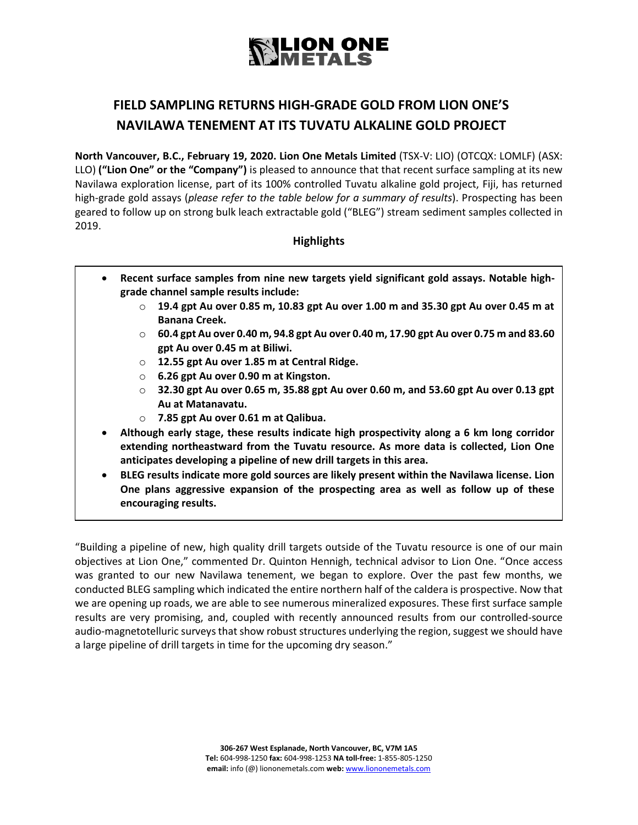# **ILION ONE**<br>METALS

### **FIELD SAMPLING RETURNS HIGH-GRADE GOLD FROM LION ONE'S NAVILAWA TENEMENT AT ITS TUVATU ALKALINE GOLD PROJECT**

**North Vancouver, B.C., February 19, 2020. Lion One Metals Limited** (TSX-V: LIO) (OTCQX: LOMLF) (ASX: LLO) **("Lion One" or the "Company")** is pleased to announce that that recent surface sampling at its new Navilawa exploration license, part of its 100% controlled Tuvatu alkaline gold project, Fiji, has returned high-grade gold assays (*please refer to the table below for a summary of results*). Prospecting has been geared to follow up on strong bulk leach extractable gold ("BLEG") stream sediment samples collected in 2019.

### **Highlights**

- **Recent surface samples from nine new targets yield significant gold assays. Notable highgrade channel sample results include:**
	- o **19.4 gpt Au over 0.85 m, 10.83 gpt Au over 1.00 m and 35.30 gpt Au over 0.45 m at Banana Creek.**
	- o **60.4 gpt Au over 0.40 m, 94.8 gpt Au over 0.40 m, 17.90 gpt Au over 0.75 m and 83.60 gpt Au over 0.45 m at Biliwi.**
	- o **12.55 gpt Au over 1.85 m at Central Ridge.**
	- o **6.26 gpt Au over 0.90 m at Kingston.**
	- o **32.30 gpt Au over 0.65 m, 35.88 gpt Au over 0.60 m, and 53.60 gpt Au over 0.13 gpt Au at Matanavatu.**
	- o **7.85 gpt Au over 0.61 m at Qalibua.**
- **Although early stage, these results indicate high prospectivity along a 6 km long corridor extending northeastward from the Tuvatu resource. As more data is collected, Lion One anticipates developing a pipeline of new drill targets in this area.**
- **BLEG results indicate more gold sources are likely present within the Navilawa license. Lion One plans aggressive expansion of the prospecting area as well as follow up of these encouraging results.**

"Building a pipeline of new, high quality drill targets outside of the Tuvatu resource is one of our main objectives at Lion One," commented Dr. Quinton Hennigh, technical advisor to Lion One. "Once access was granted to our new Navilawa tenement, we began to explore. Over the past few months, we conducted BLEG sampling which indicated the entire northern half of the caldera is prospective. Now that we are opening up roads, we are able to see numerous mineralized exposures. These first surface sample results are very promising, and, coupled with recently announced results from our controlled-source audio-magnetotelluric surveys that show robust structures underlying the region, suggest we should have a large pipeline of drill targets in time for the upcoming dry season."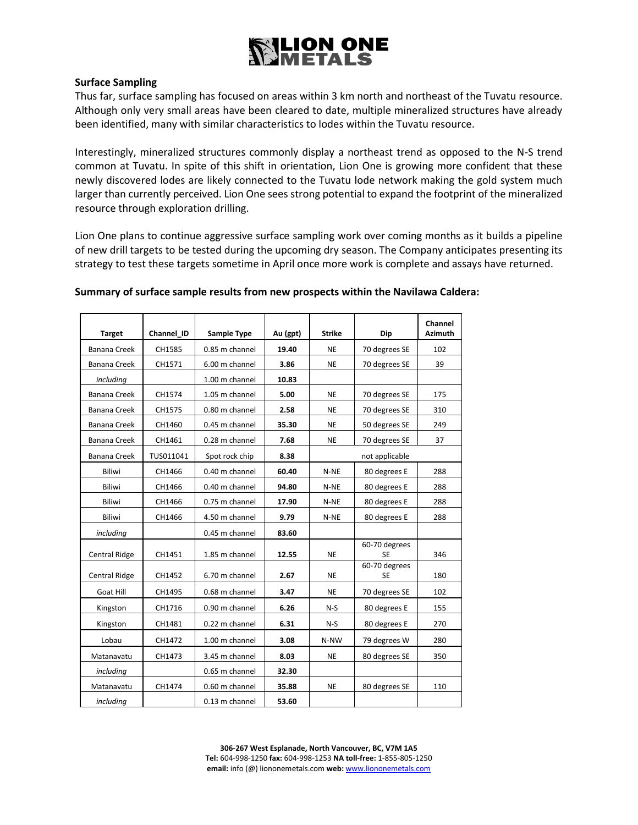

#### **Surface Sampling**

Thus far, surface sampling has focused on areas within 3 km north and northeast of the Tuvatu resource. Although only very small areas have been cleared to date, multiple mineralized structures have already been identified, many with similar characteristics to lodes within the Tuvatu resource.

Interestingly, mineralized structures commonly display a northeast trend as opposed to the N-S trend common at Tuvatu. In spite of this shift in orientation, Lion One is growing more confident that these newly discovered lodes are likely connected to the Tuvatu lode network making the gold system much larger than currently perceived. Lion One sees strong potential to expand the footprint of the mineralized resource through exploration drilling.

Lion One plans to continue aggressive surface sampling work over coming months as it builds a pipeline of new drill targets to be tested during the upcoming dry season. The Company anticipates presenting its strategy to test these targets sometime in April once more work is complete and assays have returned.

| <b>Target</b>       | Channel ID | Sample Type    | Au (gpt) | <b>Strike</b> | Dip                        | Channel<br><b>Azimuth</b> |
|---------------------|------------|----------------|----------|---------------|----------------------------|---------------------------|
| Banana Creek        | CH1585     | 0.85 m channel | 19.40    | <b>NE</b>     | 70 degrees SE              | 102                       |
| Banana Creek        | CH1571     | 6.00 m channel | 3.86     | <b>NE</b>     | 70 degrees SE              | 39                        |
| including           |            | 1.00 m channel | 10.83    |               |                            |                           |
| Banana Creek        | CH1574     | 1.05 m channel | 5.00     | NE            | 70 degrees SE              | 175                       |
| <b>Banana Creek</b> | CH1575     | 0.80 m channel | 2.58     | <b>NE</b>     | 70 degrees SE              | 310                       |
| Banana Creek        | CH1460     | 0.45 m channel | 35.30    | <b>NE</b>     | 50 degrees SE              | 249                       |
| Banana Creek        | CH1461     | 0.28 m channel | 7.68     | <b>NE</b>     | 70 degrees SE              | 37                        |
| Banana Creek        | TUS011041  | Spot rock chip | 8.38     |               |                            |                           |
| Biliwi              | CH1466     | 0.40 m channel | 60.40    | N-NE          | 80 degrees E               | 288                       |
| Biliwi              | CH1466     | 0.40 m channel | 94.80    | N-NE          | 80 degrees E               | 288                       |
| Biliwi              | CH1466     | 0.75 m channel | 17.90    | N-NE          | 80 degrees E               | 288                       |
| Biliwi              | CH1466     | 4.50 m channel | 9.79     | N-NE          | 80 degrees E               | 288                       |
| including           |            | 0.45 m channel | 83.60    |               |                            |                           |
| Central Ridge       | CH1451     | 1.85 m channel | 12.55    | <b>NE</b>     | 60-70 degrees<br><b>SE</b> | 346                       |
| Central Ridge       | CH1452     | 6.70 m channel | 2.67     | <b>NE</b>     | 60-70 degrees<br><b>SE</b> | 180                       |
| Goat Hill           | CH1495     | 0.68 m channel | 3.47     | <b>NE</b>     | 70 degrees SE              | 102                       |
| Kingston            | CH1716     | 0.90 m channel | 6.26     | $N-S$         | 80 degrees E               | 155                       |
| Kingston            | CH1481     | 0.22 m channel | 6.31     | $N-S$         | 80 degrees E               | 270                       |
| Lobau               | CH1472     | 1.00 m channel | 3.08     | N-NW          | 79 degrees W               | 280                       |
| Matanavatu          | CH1473     | 3.45 m channel | 8.03     | <b>NE</b>     | 80 degrees SE              | 350                       |
| including           |            | 0.65 m channel | 32.30    |               |                            |                           |
| Matanavatu          | CH1474     | 0.60 m channel | 35.88    | <b>NE</b>     | 80 degrees SE              | 110                       |
| including           |            | 0.13 m channel | 53.60    |               |                            |                           |

#### **Summary of surface sample results from new prospects within the Navilawa Caldera:**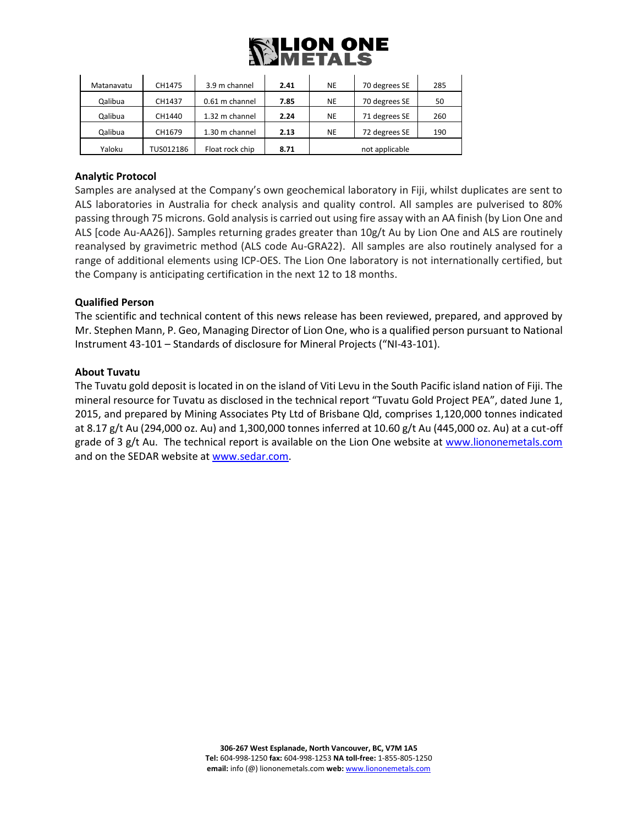| Matanavatu | CH1475    | 3.9 m channel   | 2.41 | <b>NE</b> | 70 degrees SE  | 285 |
|------------|-----------|-----------------|------|-----------|----------------|-----|
| Qalibua    | CH1437    | 0.61 m channel  | 7.85 | <b>NE</b> | 70 degrees SE  | 50  |
| Qalibua    | CH1440    | 1.32 m channel  | 2.24 | <b>NE</b> | 71 degrees SE  | 260 |
| Qalibua    | CH1679    | 1.30 m channel  | 2.13 | <b>NE</b> | 72 degrees SE  | 190 |
| Yaloku     | TUS012186 | Float rock chip | 8.71 |           | not applicable |     |

#### **Analytic Protocol**

Samples are analysed at the Company's own geochemical laboratory in Fiji, whilst duplicates are sent to ALS laboratories in Australia for check analysis and quality control. All samples are pulverised to 80% passing through 75 microns. Gold analysis is carried out using fire assay with an AA finish (by Lion One and ALS [code Au-AA26]). Samples returning grades greater than 10g/t Au by Lion One and ALS are routinely reanalysed by gravimetric method (ALS code Au-GRA22). All samples are also routinely analysed for a range of additional elements using ICP-OES. The Lion One laboratory is not internationally certified, but the Company is anticipating certification in the next 12 to 18 months.

#### **Qualified Person**

The scientific and technical content of this news release has been reviewed, prepared, and approved by Mr. Stephen Mann, P. Geo, Managing Director of Lion One, who is a qualified person pursuant to National Instrument 43-101 – Standards of disclosure for Mineral Projects ("NI-43-101).

#### **About Tuvatu**

The Tuvatu gold deposit is located in on the island of Viti Levu in the South Pacific island nation of Fiji. The mineral resource for Tuvatu as disclosed in the technical report "Tuvatu Gold Project PEA", dated June 1, 2015, and prepared by Mining Associates Pty Ltd of Brisbane Qld, comprises 1,120,000 tonnes indicated at 8.17 g/t Au (294,000 oz. Au) and 1,300,000 tonnes inferred at 10.60 g/t Au (445,000 oz. Au) at a cut-off grade of 3 g/t Au. The technical report is available on the Lion One website at [www.liononemetals.com](http://www.liononemetals.com/) and on the SEDAR website at [www.sedar.com.](http://www.sedar.com/)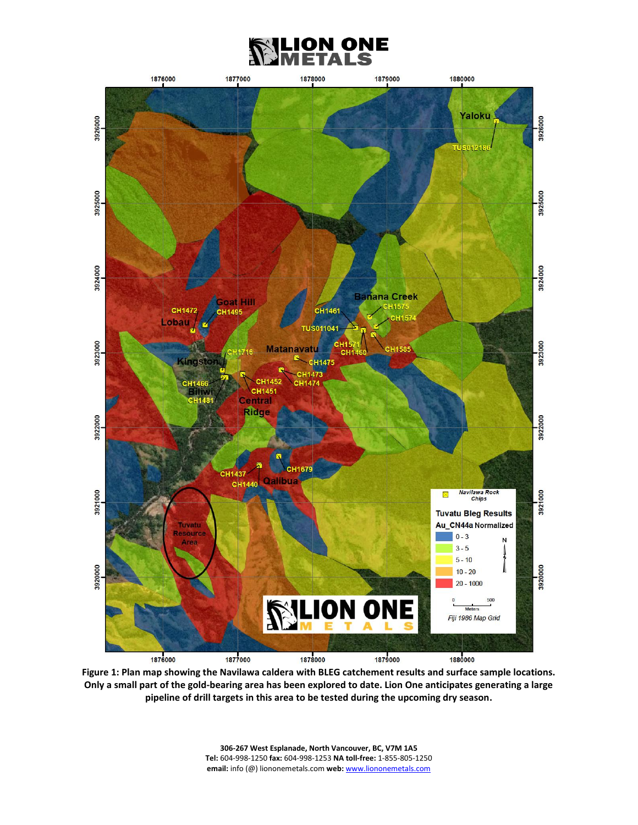# L<mark>ion one</mark><br>Vietals



**Figure 1: Plan map showing the Navilawa caldera with BLEG catchement results and surface sample locations. Only a small part of the gold-bearing area has been explored to date. Lion One anticipates generating a large pipeline of drill targets in this area to be tested during the upcoming dry season.**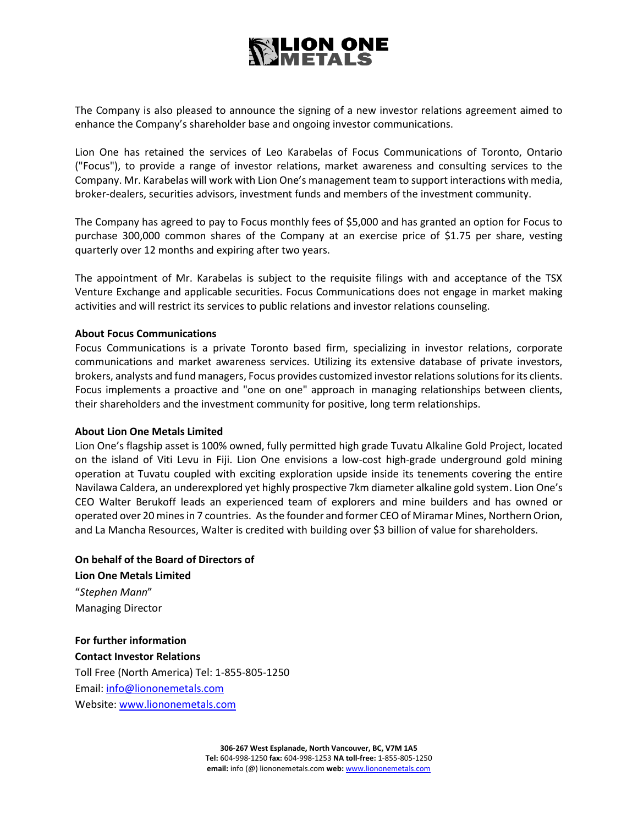# **ILION ONE**<br>IMETALS

The Company is also pleased to announce the signing of a new investor relations agreement aimed to enhance the Company's shareholder base and ongoing investor communications.

Lion One has retained the services of Leo Karabelas of Focus Communications of Toronto, Ontario ("Focus"), to provide a range of investor relations, market awareness and consulting services to the Company. Mr. Karabelas will work with Lion One's management team to support interactions with media, broker-dealers, securities advisors, investment funds and members of the investment community.

The Company has agreed to pay to Focus monthly fees of \$5,000 and has granted an option for Focus to purchase 300,000 common shares of the Company at an exercise price of \$1.75 per share, vesting quarterly over 12 months and expiring after two years.

The appointment of Mr. Karabelas is subject to the requisite filings with and acceptance of the TSX Venture Exchange and applicable securities. Focus Communications does not engage in market making activities and will restrict its services to public relations and investor relations counseling.

#### **About Focus Communications**

Focus Communications is a private Toronto based firm, specializing in investor relations, corporate communications and market awareness services. Utilizing its extensive database of private investors, brokers, analysts and fund managers, Focus provides customized investor relations solutions for its clients. Focus implements a proactive and "one on one" approach in managing relationships between clients, their shareholders and the investment community for positive, long term relationships.

#### **About Lion One Metals Limited**

Lion One's flagship asset is 100% owned, fully permitted high grade Tuvatu Alkaline Gold Project, located on the island of Viti Levu in Fiji. Lion One envisions a low-cost high-grade underground gold mining operation at Tuvatu coupled with exciting exploration upside inside its tenements covering the entire Navilawa Caldera, an underexplored yet highly prospective 7km diameter alkaline gold system. Lion One's CEO Walter Berukoff leads an experienced team of explorers and mine builders and has owned or operated over 20 mines in 7 countries. As the founder and former CEO of Miramar Mines, Northern Orion, and La Mancha Resources, Walter is credited with building over \$3 billion of value for shareholders.

**On behalf of the Board of Directors of Lion One Metals Limited** "*Stephen Mann*" Managing Director

**For further information Contact Investor Relations** Toll Free (North America) Tel: 1-855-805-1250 Email: [info@liononemetals.com](mailto:info@liononemetals.com)  Website[: www.liononemetals.com](http://www.liononemetals.com/)